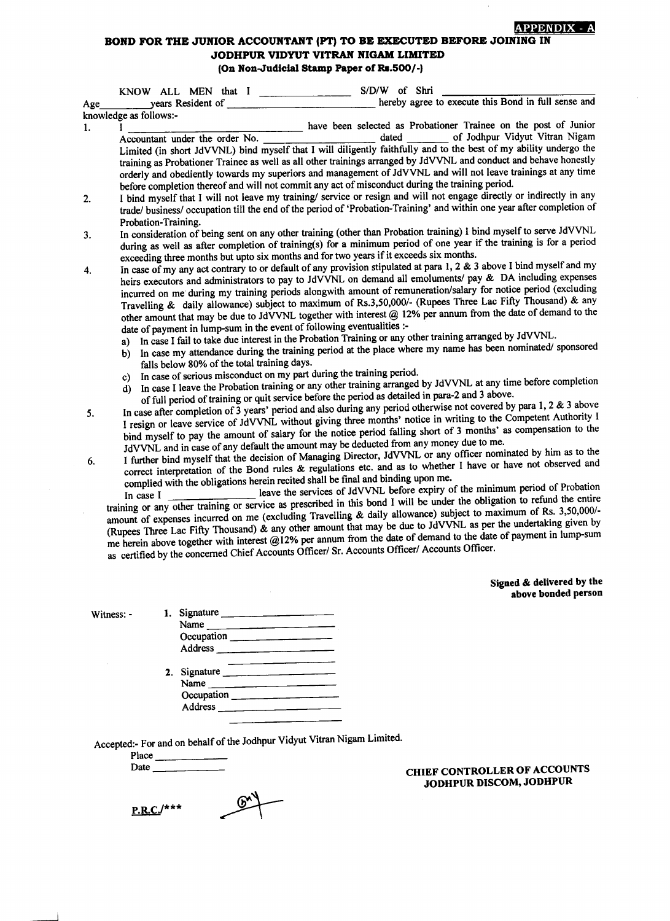# BOND FOR THE JUNIOR ACCOUNTANT (PT) TO BE EXECUTED BEFORE JOINING IN JODHPUR VIDYUT VITRAN NIGAM LIMITED (On Non-Judicial Stamp Paper of Rs.500/-)

KNOW ALL MEN that <sup>I</sup> S/D/W of Shri Age years Resident of **hereby** agree to execute this Bond in full sense and knowledge as follows: have been selected as Probationer Trainee on the post of Junior l. П of Jodhpur Vidyut Vitran Nigam Accountant under the order No. Limited (in short JdVVNL) bind myself that I will diligently faithtully and to the best of my ability undergo the training as Probationer Trainee as well as all other trainings arranged by JdVVNL and conduct and behave honestly orderly and obediently towards my superiors and management of JdVVNL and will not leave trainings at any time orderly and obediently towards my superiors and management of JdVVNL and will not leave I bind myself that I will not leave my training/ service or resign and will not engage directly or indirectly in any  $2.$ trade/ business/ occupation till the end of the period of 'Probation-Training' and within one year after completion of Probation-Training. In consideration of being sent on any other training (other than Probation training) I bind myself to serve JdVVNL 3. during as well as after completion of training(s) for a minimum period of one year if the training is for a period exceeding three months but upto six months and for two years if it exceeds six months. In case of my any act contrary to or default of any provision stipulated at para 1, 2 & 3 above I bind myself and my 4. heirs executors and administrators to pay to JdVVNL on demand all emoluments/ pay & DA including expenses incurred on me during my training periods alongwith amount of remuneration/salary for notice period (excluding Travelling & daily allowance) subject to maximum of Rs.3,50,000/- (Rupees Three Lac Fifty Thousand) & any other amount that may be due io JdVVNL together with interest @ l2o/o Per annum from the date of demand to the date of payment in lump-sum in the event of following eventualities :a) In case I fail to take due interest in the Probation Training or any other training arranged by JdVVNL. b) In case my attendance during the training period at the place where my name has been nominated/ sponsored falls below 80% of the total training days. c) In case of serious misconduct on my part during the training period. d) In case I leave the Probation training or any other training arranged by JdVVNL at any time before completion of full period of training or quit service before the period as detailed in para-2 and 3 above. In case after completion of  $\bar{3}$  years' period and also during any period otherwise not covered by para 1, 2 & 3 above 5. I resign or leave service of JdVVNL without giving three months' notice in writing to the Competent Authority I bind myself to pay the amount of salary for the notice period falling short of 3 months' as compensation to the JdvvNIL and in case of any default the amount may be deducted fromany money due to me. I further bind myself that the decision of Managing Director, JdVVNL or any officer nominated by him as to the correct interpretation of the Bond rules  $\&$  regulations etc. and as to whether I have or have not observed and complied with the obligations herein recited shall be final and binding upon me.<br>In case I leave the service 6. complied with the obligations herein recited shall be final and binding upon me.<br>In case  $I_{\text{linear}}$  leave the services of JdVVNL before expiry of In case I  $\frac{1}{\sqrt{1-\frac{1}{2}}\sqrt{1-\frac{1}{2}}\sqrt{1-\frac{1}{2}}\sqrt{1-\frac{1}{2}}\sqrt{1-\frac{1}{2}}\sqrt{1-\frac{1}{2}}\sqrt{1-\frac{1}{2}}\sqrt{1-\frac{1}{2}}\sqrt{1-\frac{1}{2}}\sqrt{1-\frac{1}{2}}\sqrt{1-\frac{1}{2}}\sqrt{1-\frac{1}{2}}\sqrt{1-\frac{1}{2}}\sqrt{1-\frac{1}{2}}\sqrt{1-\frac{1}{2}}\sqrt{1-\frac{1}{2}}\sqrt{1-\frac{1}{2}}\sqrt{1-\frac{1}{2}}\sqrt{1-\frac{$ training or any other training or service as prescribed in this bond I will be under the obligation to refund the entire<br>training or any other training or service as prescribed in this bond I will be under the obligation t amount of expenses incurred on me (excluding Travelling & daily allowance) subject to maximum of Rs. 3,50,000/-(Rupees Three Lac Fifty Thousand)  $\hat{\alpha}$  any other amount that may be due to JdVVNL as per the undertaking given by me herein above together with interest @12% per annum from the date of demand to the date of payment in lump-sum as certified by the concerned Chief Accounts Officer/ Sr. Accounts Officer/ Accounts Officer. Signed & delivered bY the above bonded person

Witness: -

| Signature $\frac{1}{\sqrt{1-\frac{1}{2}}\cdot\frac{1}{\sqrt{1-\frac{1}{2}}}}$ |
|-------------------------------------------------------------------------------|
| Name                                                                          |
| Occupation                                                                    |
|                                                                               |
| 2. Signature                                                                  |
|                                                                               |
| Occupation ______                                                             |
| Address _____________                                                         |
|                                                                               |

Accepted:- For and on behalf of the Jodhpur Vidyut Vitran Nigam Limited.

Place Date

 $P.R.C.'$ \*\*\*  $\mathbb{C}$ 

### CHIEF CONTROLLER OF ACCOUNTS JODHPUR DISCOM, JODHPUR

**LAPPENDIX**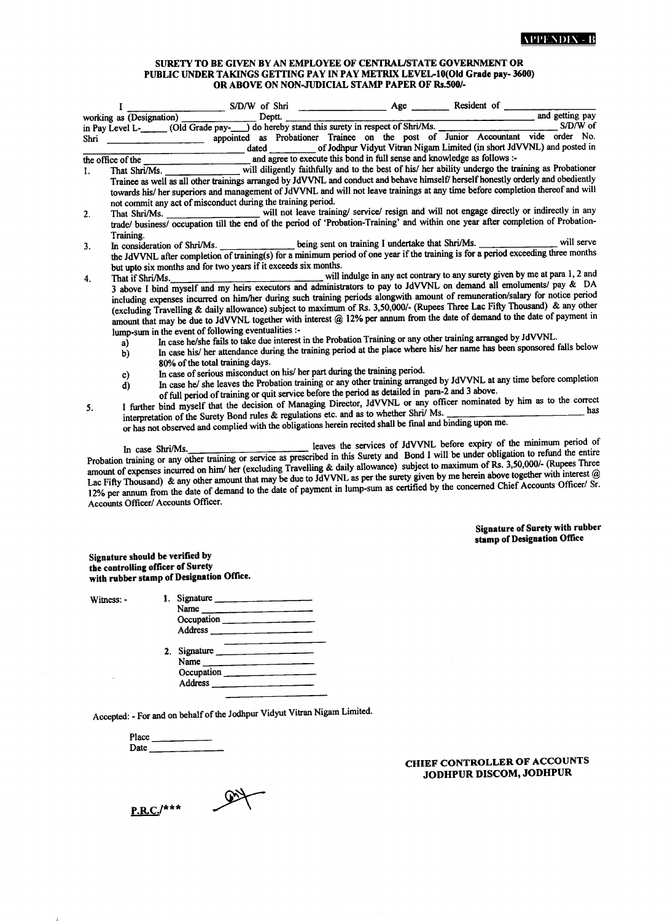#### SURETY TO BE GIVEN BY AN EMPLOYEE OF CENTRAL/STATE GOVERNMENT OR PUBLIC UNDER TAKINGS GETTING PAY IN PAY METRIX LEVEL-10(Old Grade pay- 3600) OR ABOVE ON NON-JUDICIAL STAMP PAPER OF Rs.500/-

|    |                                                     | Level L-<br>(Old Grade pay- ) do hereby stand this surety in respect of Shri/Ms.<br>Shri appointed as Probationer Trainee on the part of the contract of the pays S/D/W of                                                                                                                                                                                                                                                                                                                                       |                                                                      |     |
|----|-----------------------------------------------------|------------------------------------------------------------------------------------------------------------------------------------------------------------------------------------------------------------------------------------------------------------------------------------------------------------------------------------------------------------------------------------------------------------------------------------------------------------------------------------------------------------------|----------------------------------------------------------------------|-----|
|    |                                                     | the office of the settled as follows :-                                                                                                                                                                                                                                                                                                                                                                                                                                                                          |                                                                      |     |
| 1. |                                                     | That Shri/Ms. __________________ will diligently faithfully and to the best of his/ her ability undergo the training as Probationer                                                                                                                                                                                                                                                                                                                                                                              |                                                                      |     |
|    |                                                     | Trainee as well as all other trainings arranged by JdVVNL and conduct and behave himself/ herself honestly orderly and obediently<br>towards his/ her superiors and management of JdVVNL and will not leave trainings at any time before completion thereof and will<br>not commit any act of misconduct during the training period.                                                                                                                                                                             |                                                                      |     |
| 2. |                                                     | That Shri/Ms. _____________________ will not leave training/ service/ resign and will not engage directly or indirectly in any                                                                                                                                                                                                                                                                                                                                                                                   |                                                                      |     |
|    | Training.                                           | trade/ business/ occupation till the end of the period of 'Probation-Training' and within one year after completion of Probation-                                                                                                                                                                                                                                                                                                                                                                                |                                                                      |     |
| 3. |                                                     | In consideration of Shri/Ms. ______________ being sent on training I undertake that Shri/Ms. _____________ will serve                                                                                                                                                                                                                                                                                                                                                                                            |                                                                      |     |
|    |                                                     | the JdVVNL after completion of training(s) for a minimum period of one year if the training is for a period exceeding three months<br>but upto six months and for two years if it exceeds six months.                                                                                                                                                                                                                                                                                                            |                                                                      |     |
| 4. |                                                     | That if Shri/Ms. will indulge in any act contrary to any surety given by me at para 1, 2 and                                                                                                                                                                                                                                                                                                                                                                                                                     |                                                                      |     |
|    |                                                     | 3 above I bind myself and my heirs executors and administrators to pay to JdVVNL on demand all emoluments/ pay & DA<br>including expenses incurred on him/her during such training periods alongwith amount of remuneration/salary for notice period<br>(excluding Travelling & daily allowance) subject to maximum of Rs. 3,50,000/- (Rupees Three Lac Fifty Thousand) & any other<br>amount that may be due to JdVVNL together with interest @ 12% per annum from the date of demand to the date of payment in |                                                                      |     |
|    | lump-sum in the event of following eventualities :- |                                                                                                                                                                                                                                                                                                                                                                                                                                                                                                                  |                                                                      |     |
|    | a)<br>b)                                            | In case he/she fails to take due interest in the Probation Training or any other training arranged by JdVVNL.<br>In case his/ her attendance during the training period at the place where his/ her name has been sponsored falls below<br>80% of the total training days.                                                                                                                                                                                                                                       |                                                                      |     |
|    |                                                     | In case of serious misconduct on his/ her part during the training period.                                                                                                                                                                                                                                                                                                                                                                                                                                       |                                                                      |     |
|    | c)<br>d)                                            | In case he/ she leaves the Probation training or any other training arranged by JdVVNL at any time before completion<br>of full period of training or quit service before the period as detailed in para-2 and 3 above.                                                                                                                                                                                                                                                                                          |                                                                      |     |
| 5. |                                                     | I further bind myself that the decision of Managing Director, JdVVNL or any officer nominated by him as to the correct<br>interpretation of the Surety Bond rules & regulations etc. and as to whether Shri/ Ms.                                                                                                                                                                                                                                                                                                 |                                                                      | has |
|    |                                                     | or has not observed and complied with the obligations herein recited shall be final and binding upon me.                                                                                                                                                                                                                                                                                                                                                                                                         |                                                                      |     |
|    | In case Shri/Ms.                                    |                                                                                                                                                                                                                                                                                                                                                                                                                                                                                                                  | leaves the services of JdVVNL before expiry of the minimum period of |     |

Probation training or any other training or service as prescribed in this Surety and Bond I will be under obligation to refund the entire Probation training or any other training or service as prescribed in this Surety and Bond I will be under obligation to reflect the<br>amount of expenses incurred on him/ her (excluding Travelling & daily allowance) subject amount of expenses incurred on ning her (excluding Fravening & dari) discussed the surety given by me herein above together with interest  $@$ <br>Lac Fifty Thousand) & any other amount that may be due to Javy VNL as per the s late the concerned Chief Accounts Officer/ Sr. 12% per annum from the date of demand to the date of payment in lump-sum as certified by the concerned Chief Accounts Officer/ Sr. Accounts Officer/ Accounts Officer.

> Signature of Surety with rubber stamp of Designation Office

Signature should be vcrified bY the controlling officer of Surety with rubber stamp of Designation Office.

Witness: - 1. Signat

 $\sim 100$ 

|  | $S$ gnature                                                                                                                                                                                                                    |  |
|--|--------------------------------------------------------------------------------------------------------------------------------------------------------------------------------------------------------------------------------|--|
|  | Name                                                                                                                                                                                                                           |  |
|  | Occupation _____                                                                                                                                                                                                               |  |
|  | Address and the contract of the state of the state of the state of the state of the state of the state of the state of the state of the state of the state of the state of the state of the state of the state of the state of |  |
|  | Signature                                                                                                                                                                                                                      |  |
|  | Name                                                                                                                                                                                                                           |  |
|  | Occupation                                                                                                                                                                                                                     |  |
|  | Address ______                                                                                                                                                                                                                 |  |

Accepted: - For and on behalf of the Jodhpur Vidyut Vitran Nigam Limited'

| Place |  |
|-------|--|
| Date  |  |

 $P.R.C.'$ \*\*\*

## CIIIEF CONTROLLER OF ACCOUNTS JODHPUR DISCOM, JODHPUR